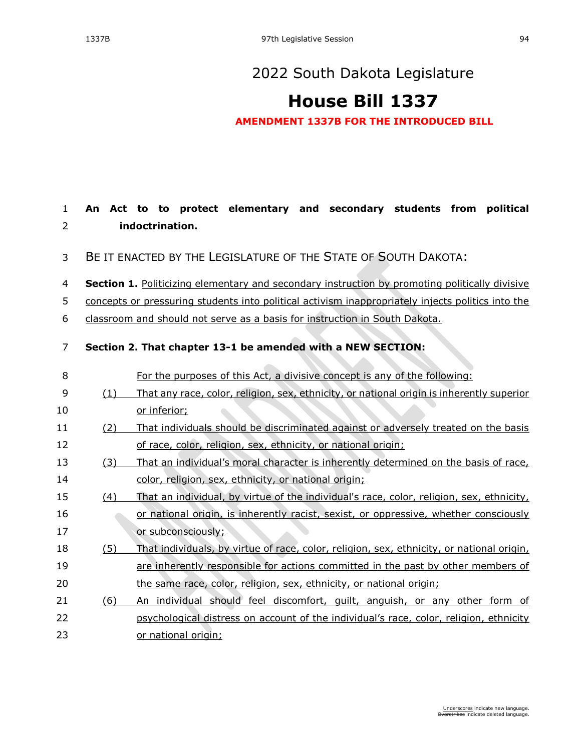**An Act to to protect elementary and secondary students from political** 

### [2022 South Dakota Legislature](https://sdlegislature.gov/Session/Bills/64)

# **[House Bill 1337](https://sdlegislature.gov/Session/Bill/23434)**

**AMENDMENT 1337B FOR THE INTRODUCED BILL**

## **indoctrination.** BE IT ENACTED BY THE LEGISLATURE OF THE STATE OF SOUTH DAKOTA: **Section 1.** Politicizing elementary and secondary instruction by promoting politically divisive concepts or pressuring students into political activism inappropriately injects politics into the classroom and should not serve as a basis for instruction in South Dakota. **Section 2. That chapter [13-1](https://sdlegislature.gov/Statutes?Statute=13-1) be amended with a NEW SECTION:** For the purposes of this Act, a divisive concept is any of the following: (1) That any race, color, religion, sex, ethnicity, or national origin is inherently superior or inferior; (2) That individuals should be discriminated against or adversely treated on the basis 12 of race, color, religion, sex, ethnicity, or national origin; (3) That an individual's moral character is inherently determined on the basis of race, 14 color, religion, sex, ethnicity, or national origin; (4) That an individual, by virtue of the individual's race, color, religion, sex, ethnicity, or national origin, is inherently racist, sexist, or oppressive, whether consciously 17 or subconsciously; (5) That individuals, by virtue of race, color, religion, sex, ethnicity, or national origin, are inherently responsible for actions committed in the past by other members of the same race, color, religion, sex, ethnicity, or national origin; (6) An individual should feel discomfort, guilt, anguish, or any other form of psychological distress on account of the individual's race, color, religion, ethnicity or national origin;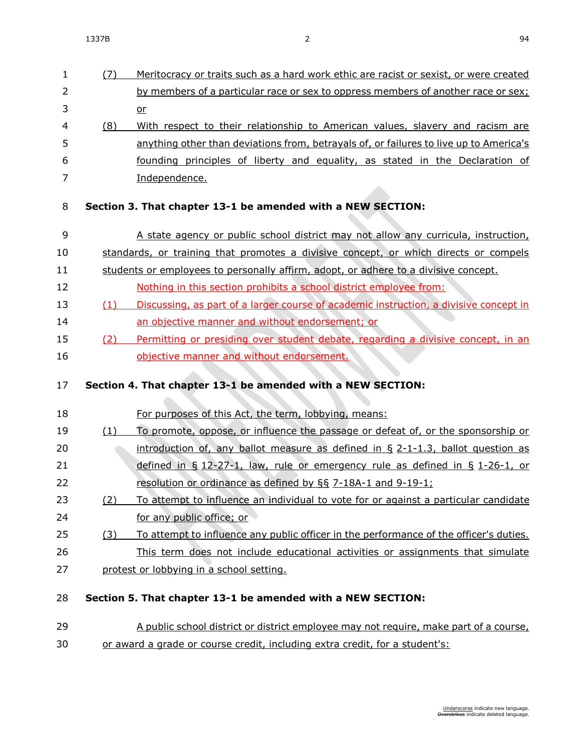or

 (8) With respect to their relationship to American values, slavery and racism are anything other than deviations from, betrayals of, or failures to live up to America's founding principles of liberty and equality, as stated in the Declaration of Independence.

#### **Section 3. That chapter [13-1](https://sdlegislature.gov/Statutes?Statute=13-1) be amended with a NEW SECTION:**

- A state agency or public school district may not allow any curricula, instruction,
- standards, or training that promotes a divisive concept, or which directs or compels
- students or employees to personally affirm, adopt, or adhere to a divisive concept.
- 12 Nothing in this section prohibits a school district employee from:
- (1) Discussing, as part of a larger course of academic instruction, a divisive concept in an objective manner and without endorsement; or
- (2) Permitting or presiding over student debate, regarding a divisive concept, in an objective manner and without endorsement.

### **Section 4. That chapter [13-1](https://sdlegislature.gov/Statutes?Statute=13-1) be amended with a NEW SECTION:**

- For purposes of this Act, the term, lobbying, means:
- 19 (1) To promote, oppose, or influence the passage or defeat of, or the sponsorship or introduction of, any ballot measure as defined in § [2-1-1.3,](https://sdlegislature.gov/Statutes?Statute=2-1-1.3) ballot question as 21 defined in § [12-27-1,](https://sdlegislature.gov/Statutes?Statute=12-27-1) law, rule or emergency rule as defined in § [1-26-1,](https://sdlegislature.gov/Statutes?Statute=1-26-1) or resolution or ordinance as defined by §§ [7-18A-1](https://sdlegislature.gov/Statutes?Statute=7-18A-1) and [9-19-1;](https://sdlegislature.gov/Statutes?Statute=9-19-1)
- (2) To attempt to influence an individual to vote for or against a particular candidate for any public office; or
- 25 (3) To attempt to influence any public officer in the performance of the officer's duties. This term does not include educational activities or assignments that simulate
- protest or lobbying in a school setting.
- **Section 5. That chapter [13-1](https://sdlegislature.gov/Statutes?Statute=13-1) be amended with a NEW SECTION:**
- A public school district or district employee may not require, make part of a course, or award a grade or course credit, including extra credit, for a student's: